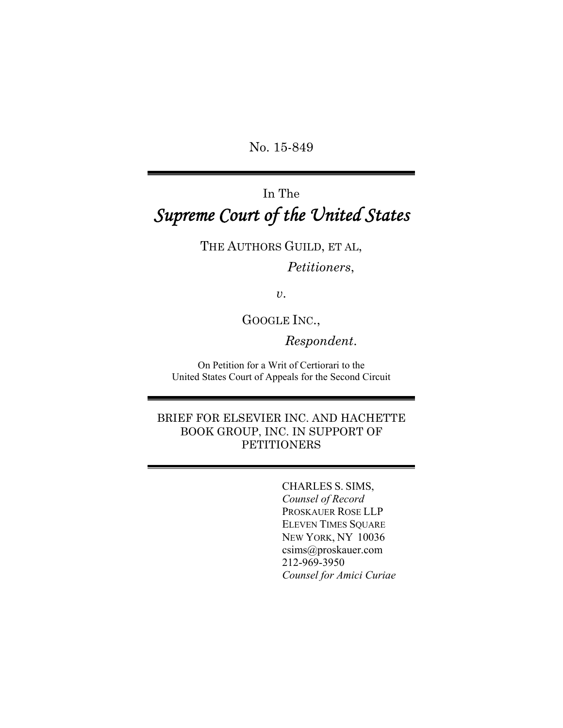No. 15-849

# In The *Supreme Court of the United States*

THE AUTHORS GUILD, ET AL,

# *Petitioners*,

*v*.

GOOGLE INC.,

*Respondent*.

On Petition for a Writ of Certiorari to the United States Court of Appeals for the Second Circuit

BRIEF FOR ELSEVIER INC. AND HACHETTE BOOK GROUP, INC. IN SUPPORT OF PETITIONERS

> CHARLES S. SIMS, *Counsel of Record* PROSKAUER ROSE LLP ELEVEN TIMES SQUARE NEW YORK, NY 10036 csims@proskauer.com 212-969-3950 *Counsel for Amici Curiae*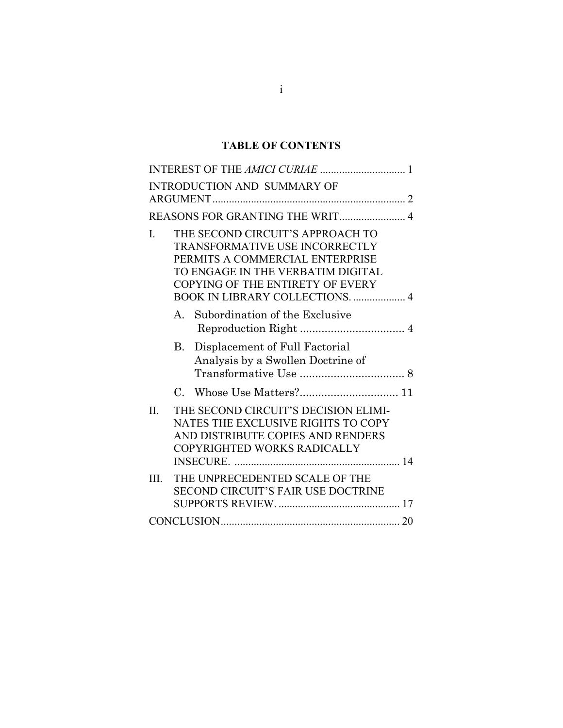# **TABLE OF CONTENTS**

|                | INTEREST OF THE AMICI CURIAE  1                                                                                                                                                                                                 |
|----------------|---------------------------------------------------------------------------------------------------------------------------------------------------------------------------------------------------------------------------------|
|                | <b>INTRODUCTION AND SUMMARY OF</b>                                                                                                                                                                                              |
|                | REASONS FOR GRANTING THE WRIT 4                                                                                                                                                                                                 |
| $\mathbf{I}$ . | THE SECOND CIRCUIT'S APPROACH TO<br><b>TRANSFORMATIVE USE INCORRECTLY</b><br>PERMITS A COMMERCIAL ENTERPRISE<br>TO ENGAGE IN THE VERBATIM DIGITAL<br>COPYING OF THE ENTIRETY OF EVERY<br><b>BOOK IN LIBRARY COLLECTIONS.  4</b> |
|                | Subordination of the Exclusive<br>A.                                                                                                                                                                                            |
|                | B. Displacement of Full Factorial<br>Analysis by a Swollen Doctrine of                                                                                                                                                          |
|                |                                                                                                                                                                                                                                 |
| II.            | THE SECOND CIRCUIT'S DECISION ELIMI-<br>NATES THE EXCLUSIVE RIGHTS TO COPY<br>AND DISTRIBUTE COPIES AND RENDERS<br>COPYRIGHTED WORKS RADICALLY                                                                                  |
| III.           | THE UNPRECEDENTED SCALE OF THE<br>SECOND CIRCUIT'S FAIR USE DOCTRINE                                                                                                                                                            |
|                |                                                                                                                                                                                                                                 |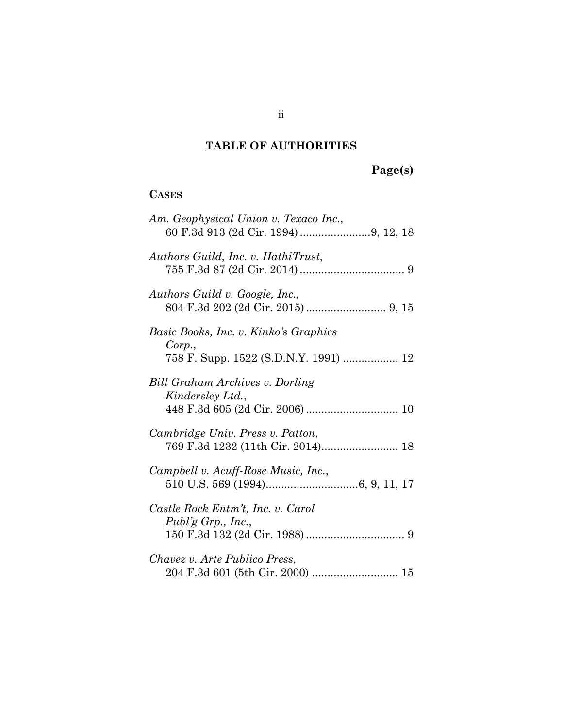# **TABLE OF AUTHORITIES**

# **Page(s)**

# **CASES**

| Am. Geophysical Union v. Texaco Inc.,                                 |
|-----------------------------------------------------------------------|
| Authors Guild, Inc. v. HathiTrust,                                    |
| Authors Guild v. Google, Inc.,                                        |
| Basic Books, Inc. v. Kinko's Graphics                                 |
| Corp.,<br>758 F. Supp. 1522 (S.D.N.Y. 1991)  12                       |
| Bill Graham Archives v. Dorling<br>Kindersley Ltd.,                   |
| Cambridge Univ. Press v. Patton,<br>769 F.3d 1232 (11th Cir. 2014) 18 |
| Campbell v. Acuff-Rose Music, Inc.,                                   |
| Castle Rock Entm't, Inc. v. Carol<br>Publ'g Grp., Inc.,               |
| Chavez v. Arte Publico Press,                                         |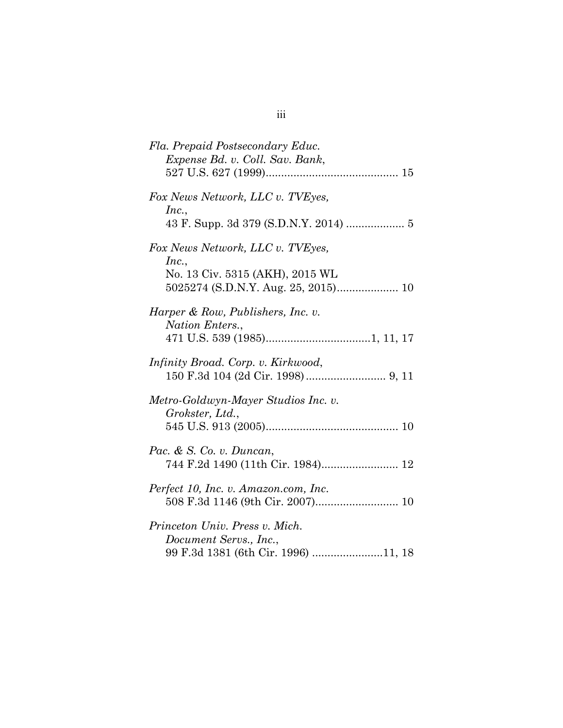| Fla. Prepaid Postsecondary Educ.<br>Expense Bd. v. Coll. Sav. Bank,                             |
|-------------------------------------------------------------------------------------------------|
| Fox News Network, LLC v. TVEyes,<br>Inc.,                                                       |
| Fox News Network, LLC v. TVEyes,<br>Inc.,<br>No. 13 Civ. 5315 (AKH), 2015 WL                    |
| Harper & Row, Publishers, Inc. v.<br>Nation Enters.,                                            |
| Infinity Broad. Corp. v. Kirkwood,                                                              |
| Metro-Goldwyn-Mayer Studios Inc. v.<br>Grokster, Ltd.,                                          |
| Pac. & S. Co. v. Duncan,<br>744 F.2d 1490 (11th Cir. 1984) 12                                   |
| Perfect 10, Inc. v. Amazon.com, Inc.                                                            |
| Princeton Univ. Press v. Mich.<br>Document Servs., Inc.,<br>99 F.3d 1381 (6th Cir. 1996) 11, 18 |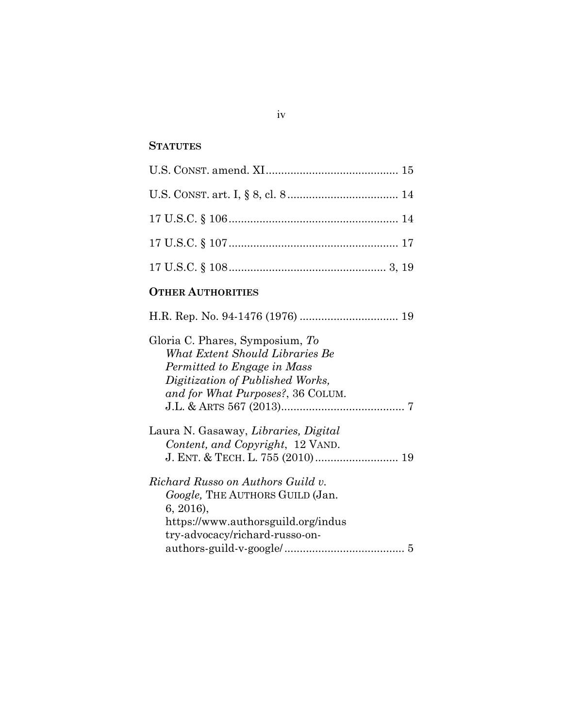# **STATUTES**

| <b>OTHER AUTHORITIES</b> |  |  |  |
|--------------------------|--|--|--|
|                          |  |  |  |
|                          |  |  |  |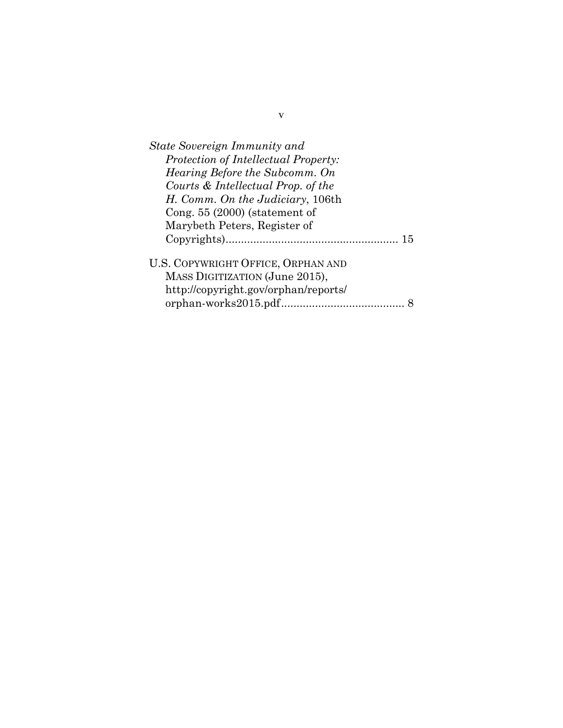| State Sovereign Immunity and         |  |
|--------------------------------------|--|
| Protection of Intellectual Property: |  |
| Hearing Before the Subcomm. On       |  |
| Courts & Intellectual Prop. of the   |  |
| H. Comm. On the Judiciary, 106th     |  |
| Cong. $55(2000)$ (statement of       |  |
| Marybeth Peters, Register of         |  |
| -15                                  |  |
| U.S. COPYWRIGHT OFFICE, ORPHAN AND   |  |
| MASS DIGITIZATION (June 2015),       |  |
| http://copyright.gov/orphan/reports/ |  |
|                                      |  |
|                                      |  |

v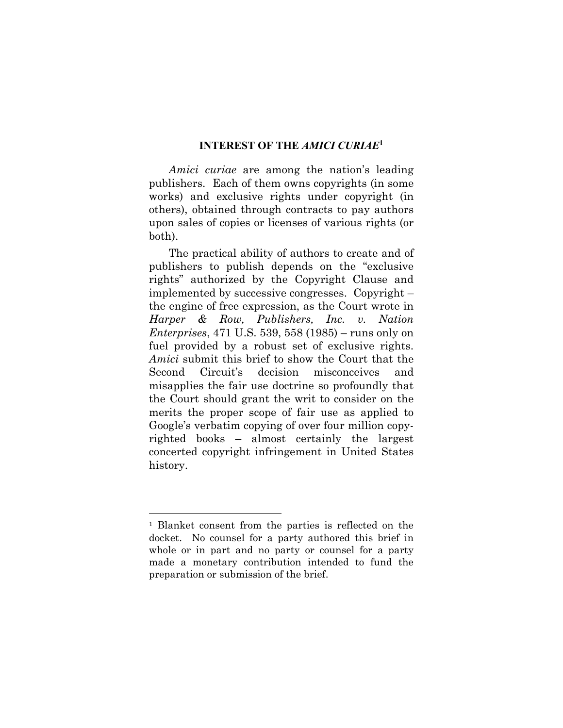#### **INTEREST OF THE** *AMICI CURIAE***<sup>1</sup>**

*Amici curiae* are among the nation's leading publishers. Each of them owns copyrights (in some works) and exclusive rights under copyright (in others), obtained through contracts to pay authors upon sales of copies or licenses of various rights (or both).

The practical ability of authors to create and of publishers to publish depends on the "exclusive rights" authorized by the Copyright Clause and implemented by successive congresses. Copyright – the engine of free expression, as the Court wrote in *Harper & Row, Publishers, Inc. v. Nation Enterprises*, 471 U.S. 539, 558 (1985) – runs only on fuel provided by a robust set of exclusive rights. *Amici* submit this brief to show the Court that the Second Circuit's decision misconceives and misapplies the fair use doctrine so profoundly that the Court should grant the writ to consider on the merits the proper scope of fair use as applied to Google's verbatim copying of over four million copyrighted books – almost certainly the largest concerted copyright infringement in United States history.

1

<sup>1</sup> Blanket consent from the parties is reflected on the docket. No counsel for a party authored this brief in whole or in part and no party or counsel for a party made a monetary contribution intended to fund the preparation or submission of the brief.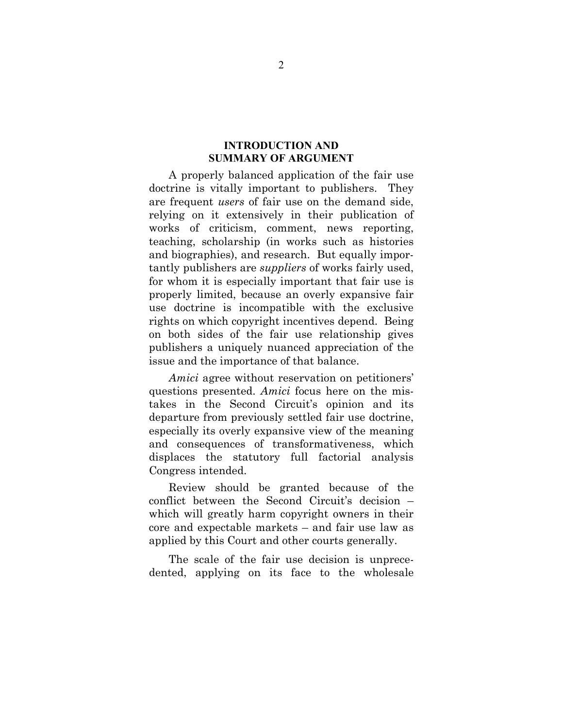### **INTRODUCTION AND SUMMARY OF ARGUMENT**

A properly balanced application of the fair use doctrine is vitally important to publishers. They are frequent *users* of fair use on the demand side, relying on it extensively in their publication of works of criticism, comment, news reporting, teaching, scholarship (in works such as histories and biographies), and research. But equally importantly publishers are *suppliers* of works fairly used, for whom it is especially important that fair use is properly limited, because an overly expansive fair use doctrine is incompatible with the exclusive rights on which copyright incentives depend. Being on both sides of the fair use relationship gives publishers a uniquely nuanced appreciation of the issue and the importance of that balance.

*Amici* agree without reservation on petitioners' questions presented. *Amici* focus here on the mistakes in the Second Circuit's opinion and its departure from previously settled fair use doctrine, especially its overly expansive view of the meaning and consequences of transformativeness, which displaces the statutory full factorial analysis Congress intended.

Review should be granted because of the conflict between the Second Circuit's decision – which will greatly harm copyright owners in their core and expectable markets – and fair use law as applied by this Court and other courts generally.

The scale of the fair use decision is unprecedented, applying on its face to the wholesale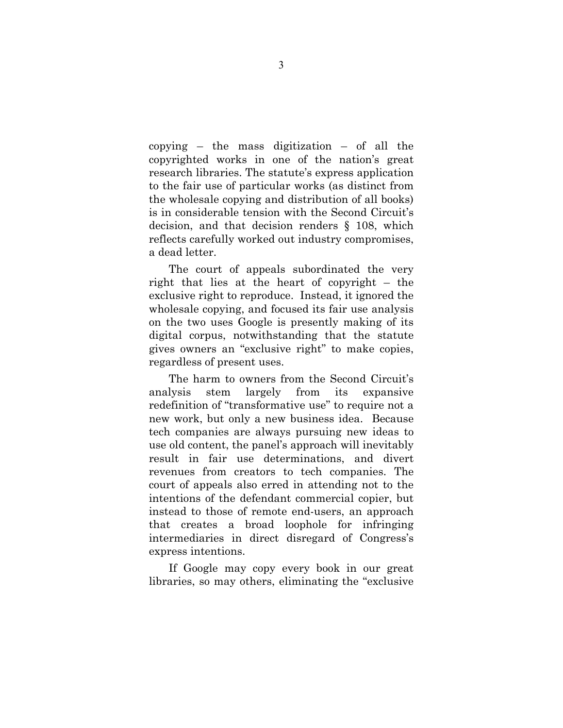copying – the mass digitization – of all the copyrighted works in one of the nation's great research libraries. The statute's express application to the fair use of particular works (as distinct from the wholesale copying and distribution of all books) is in considerable tension with the Second Circuit's decision, and that decision renders § 108, which reflects carefully worked out industry compromises, a dead letter.

The court of appeals subordinated the very right that lies at the heart of copyright – the exclusive right to reproduce. Instead, it ignored the wholesale copying, and focused its fair use analysis on the two uses Google is presently making of its digital corpus, notwithstanding that the statute gives owners an "exclusive right" to make copies, regardless of present uses.

The harm to owners from the Second Circuit's analysis stem largely from its expansive redefinition of "transformative use" to require not a new work, but only a new business idea. Because tech companies are always pursuing new ideas to use old content, the panel's approach will inevitably result in fair use determinations, and divert revenues from creators to tech companies. The court of appeals also erred in attending not to the intentions of the defendant commercial copier, but instead to those of remote end-users, an approach that creates a broad loophole for infringing intermediaries in direct disregard of Congress's express intentions.

If Google may copy every book in our great libraries, so may others, eliminating the "exclusive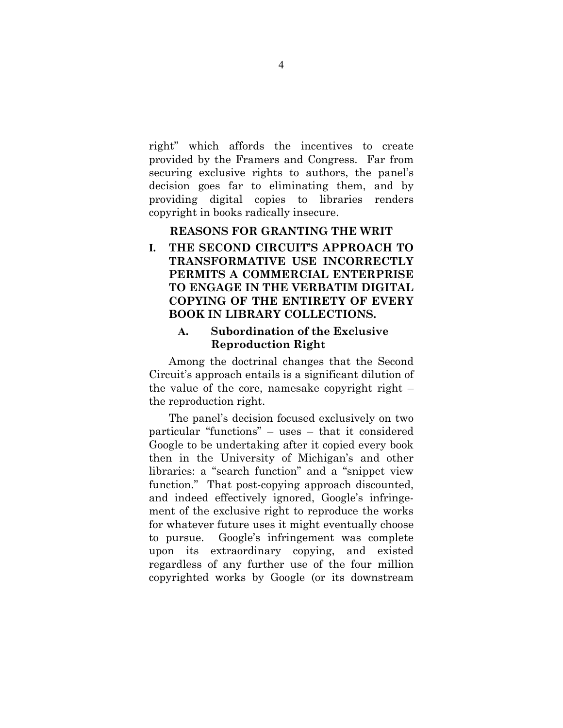right" which affords the incentives to create provided by the Framers and Congress. Far from securing exclusive rights to authors, the panel's decision goes far to eliminating them, and by providing digital copies to libraries renders copyright in books radically insecure.

#### **REASONS FOR GRANTING THE WRIT**

## **I. THE SECOND CIRCUIT'S APPROACH TO TRANSFORMATIVE USE INCORRECTLY PERMITS A COMMERCIAL ENTERPRISE TO ENGAGE IN THE VERBATIM DIGITAL COPYING OF THE ENTIRETY OF EVERY BOOK IN LIBRARY COLLECTIONS.**

### **A. Subordination of the Exclusive Reproduction Right**

Among the doctrinal changes that the Second Circuit's approach entails is a significant dilution of the value of the core, namesake copyright right  $$ the reproduction right.

The panel's decision focused exclusively on two particular "functions" – uses – that it considered Google to be undertaking after it copied every book then in the University of Michigan's and other libraries: a "search function" and a "snippet view function." That post-copying approach discounted, and indeed effectively ignored, Google's infringement of the exclusive right to reproduce the works for whatever future uses it might eventually choose to pursue. Google's infringement was complete upon its extraordinary copying, and existed regardless of any further use of the four million copyrighted works by Google (or its downstream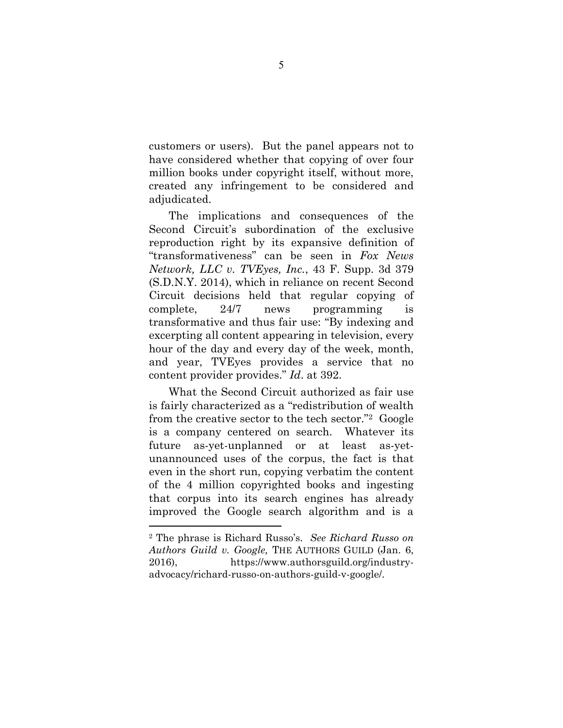customers or users). But the panel appears not to have considered whether that copying of over four million books under copyright itself, without more, created any infringement to be considered and adjudicated.

The implications and consequences of the Second Circuit's subordination of the exclusive reproduction right by its expansive definition of "transformativeness" can be seen in *Fox News Network, LLC v. TVEyes, Inc.*, 43 F. Supp. 3d 379 (S.D.N.Y. 2014), which in reliance on recent Second Circuit decisions held that regular copying of complete, 24/7 news programming is transformative and thus fair use: "By indexing and excerpting all content appearing in television, every hour of the day and every day of the week, month, and year, TVEyes provides a service that no content provider provides." *Id*. at 392.

What the Second Circuit authorized as fair use is fairly characterized as a "redistribution of wealth from the creative sector to the tech sector."2 Google is a company centered on search. Whatever its future as-yet-unplanned or at least as-yetunannounced uses of the corpus, the fact is that even in the short run, copying verbatim the content of the 4 million copyrighted books and ingesting that corpus into its search engines has already improved the Google search algorithm and is a

<u>.</u>

<sup>2</sup> The phrase is Richard Russo's. *See Richard Russo on Authors Guild v. Google,* THE AUTHORS GUILD (Jan. 6, 2016), https://www.authorsguild.org/industryadvocacy/richard-russo-on-authors-guild-v-google/.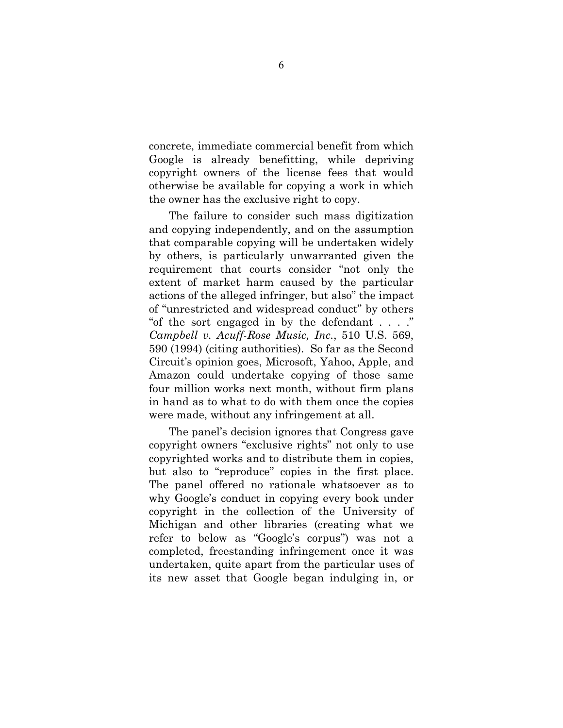concrete, immediate commercial benefit from which Google is already benefitting, while depriving copyright owners of the license fees that would otherwise be available for copying a work in which the owner has the exclusive right to copy.

The failure to consider such mass digitization and copying independently, and on the assumption that comparable copying will be undertaken widely by others, is particularly unwarranted given the requirement that courts consider "not only the extent of market harm caused by the particular actions of the alleged infringer, but also" the impact of "unrestricted and widespread conduct" by others "of the sort engaged in by the defendant . . . ." *Campbell v. Acuff-Rose Music, Inc.*, 510 U.S. 569, 590 (1994) (citing authorities). So far as the Second Circuit's opinion goes, Microsoft, Yahoo, Apple, and Amazon could undertake copying of those same four million works next month, without firm plans in hand as to what to do with them once the copies were made, without any infringement at all.

The panel's decision ignores that Congress gave copyright owners "exclusive rights" not only to use copyrighted works and to distribute them in copies, but also to "reproduce" copies in the first place. The panel offered no rationale whatsoever as to why Google's conduct in copying every book under copyright in the collection of the University of Michigan and other libraries (creating what we refer to below as "Google's corpus") was not a completed, freestanding infringement once it was undertaken, quite apart from the particular uses of its new asset that Google began indulging in, or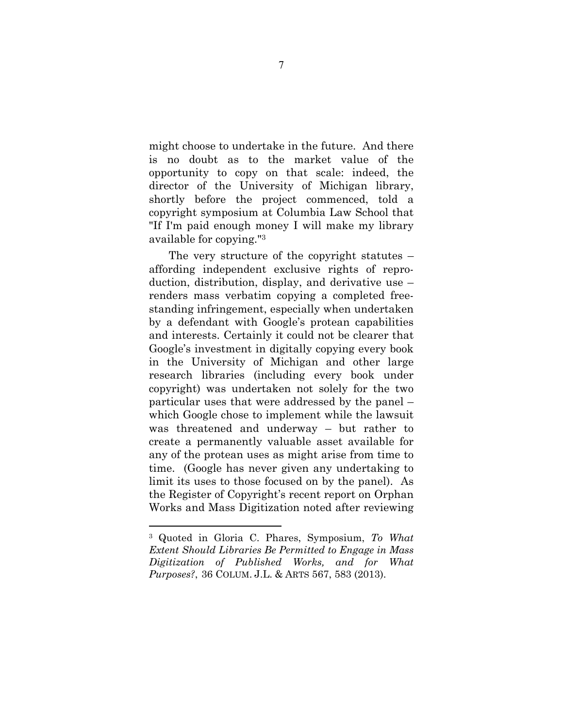might choose to undertake in the future. And there is no doubt as to the market value of the opportunity to copy on that scale: indeed, the director of the University of Michigan library, shortly before the project commenced, told a copyright symposium at Columbia Law School that "If I'm paid enough money I will make my library available for copying."3

The very structure of the copyright statutes – affording independent exclusive rights of reproduction, distribution, display, and derivative use – renders mass verbatim copying a completed freestanding infringement, especially when undertaken by a defendant with Google's protean capabilities and interests. Certainly it could not be clearer that Google's investment in digitally copying every book in the University of Michigan and other large research libraries (including every book under copyright) was undertaken not solely for the two particular uses that were addressed by the panel – which Google chose to implement while the lawsuit was threatened and underway – but rather to create a permanently valuable asset available for any of the protean uses as might arise from time to time. (Google has never given any undertaking to limit its uses to those focused on by the panel). As the Register of Copyright's recent report on Orphan Works and Mass Digitization noted after reviewing

<u>.</u>

<sup>3</sup> Quoted in Gloria C. Phares, Symposium, *To What Extent Should Libraries Be Permitted to Engage in Mass Digitization of Published Works, and for What Purposes?*, 36 COLUM. J.L. & ARTS 567, 583 (2013).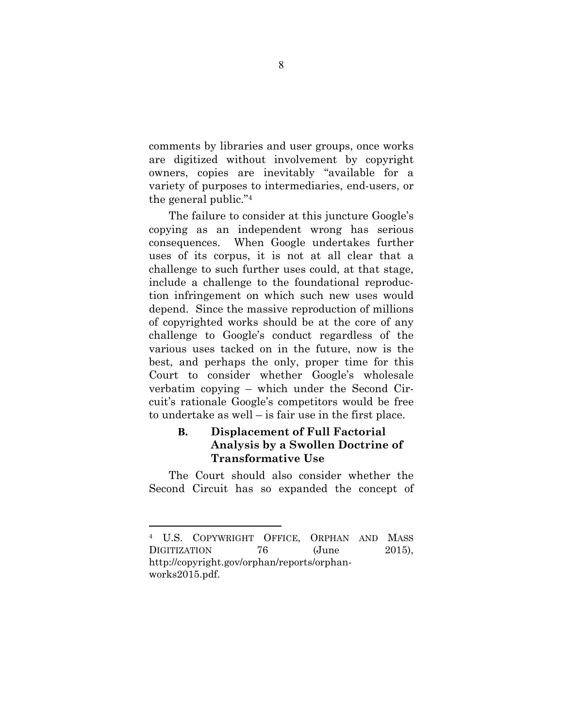comments by libraries and user groups, once works are digitized without involvement by copyright owners, copies are inevitably "available for a variety of purposes to intermediaries, end-users, or the general public."4

The failure to consider at this juncture Google's copying as an independent wrong has serious consequences. When Google undertakes further uses of its corpus, it is not at all clear that a challenge to such further uses could, at that stage, include a challenge to the foundational reproduction infringement on which such new uses would depend. Since the massive reproduction of millions of copyrighted works should be at the core of any challenge to Google's conduct regardless of the various uses tacked on in the future, now is the best, and perhaps the only, proper time for this Court to consider whether Google's wholesale verbatim copying – which under the Second Circuit's rationale Google's competitors would be free to undertake as well – is fair use in the first place.

## **B. Displacement of Full Factorial Analysis by a Swollen Doctrine of Transformative Use**

The Court should also consider whether the Second Circuit has so expanded the concept of

<sup>4</sup> U.S. COPYWRIGHT OFFICE, ORPHAN AND MASS DIGITIZATION 76 (June 2015), http://copyright.gov/orphan/reports/orphanworks2015.pdf.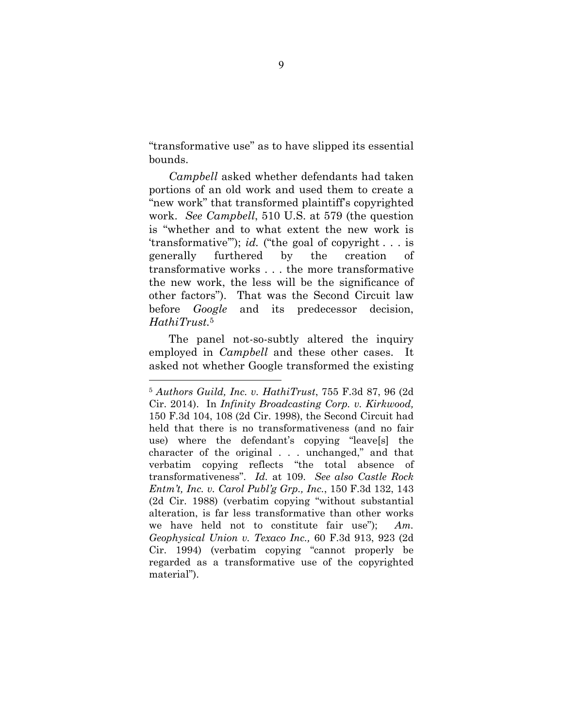"transformative use" as to have slipped its essential bounds.

*Campbell* asked whether defendants had taken portions of an old work and used them to create a "new work" that transformed plaintiff's copyrighted work. *See Campbell*, 510 U.S. at 579 (the question is "whether and to what extent the new work is 'transformative'"); *id.* ("the goal of copyright . . . is generally furthered by the creation of transformative works . . . the more transformative the new work, the less will be the significance of other factors"). That was the Second Circuit law before *Google* and its predecessor decision, *HathiTrust.*<sup>5</sup>

The panel not-so-subtly altered the inquiry employed in *Campbell* and these other cases. It asked not whether Google transformed the existing

<sup>5</sup> *Authors Guild, Inc. v. HathiTrust*, 755 F.3d 87, 96 (2d Cir. 2014). In *Infinity Broadcasting Corp. v. Kirkwood,* 150 F.3d 104, 108 (2d Cir. 1998), the Second Circuit had held that there is no transformativeness (and no fair use) where the defendant's copying "leave[s] the character of the original . . . unchanged," and that verbatim copying reflects "the total absence of transformativeness". *Id.* at 109. *See also Castle Rock Entm't, Inc. v. Carol Publ'g Grp., Inc.*, 150 F.3d 132, 143 (2d Cir. 1988) (verbatim copying "without substantial alteration, is far less transformative than other works we have held not to constitute fair use"); *Am. Geophysical Union v. Texaco Inc.,* 60 F.3d 913, 923 (2d Cir. 1994) (verbatim copying "cannot properly be regarded as a transformative use of the copyrighted material").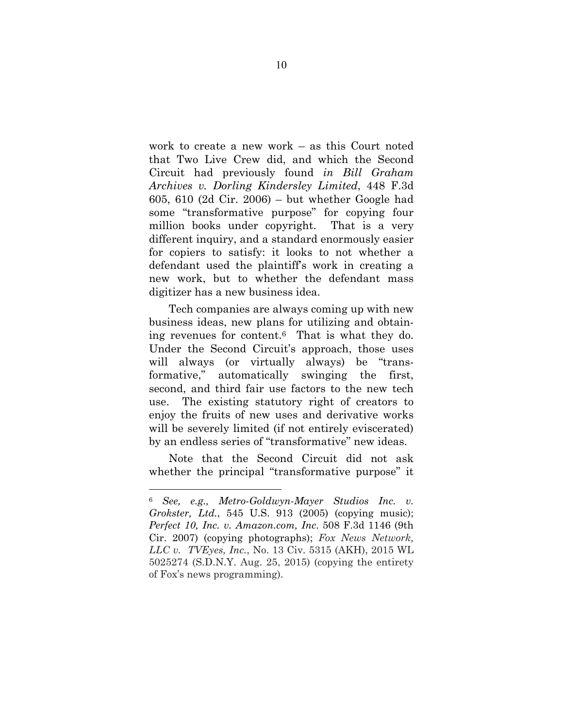work to create a new work – as this Court noted that Two Live Crew did, and which the Second Circuit had previously found *in Bill Graham Archives v. Dorling Kindersley Limited*, 448 F.3d 605, 610 (2d Cir. 2006) – but whether Google had some "transformative purpose" for copying four million books under copyright. That is a very different inquiry, and a standard enormously easier for copiers to satisfy: it looks to not whether a defendant used the plaintiff's work in creating a new work, but to whether the defendant mass digitizer has a new business idea.

Tech companies are always coming up with new business ideas, new plans for utilizing and obtaining revenues for content.6 That is what they do. Under the Second Circuit's approach, those uses will always (or virtually always) be "transformative," automatically swinging the first, second, and third fair use factors to the new tech use. The existing statutory right of creators to enjoy the fruits of new uses and derivative works will be severely limited (if not entirely eviscerated) by an endless series of "transformative" new ideas.

Note that the Second Circuit did not ask whether the principal "transformative purpose" it

<sup>6</sup> *See, e.g., Metro-Goldwyn-Mayer Studios Inc. v. Grokster, Ltd.*, 545 U.S. 913 (2005) (copying music); *Perfect 10, Inc. v. Amazon.com, Inc*. 508 F.3d 1146 (9th Cir. 2007) (copying photographs); *Fox News Network, LLC v. TVEyes, Inc.*, No. 13 Civ. 5315 (AKH), 2015 WL 5025274 (S.D.N.Y. Aug. 25, 2015) (copying the entirety of Fox's news programming).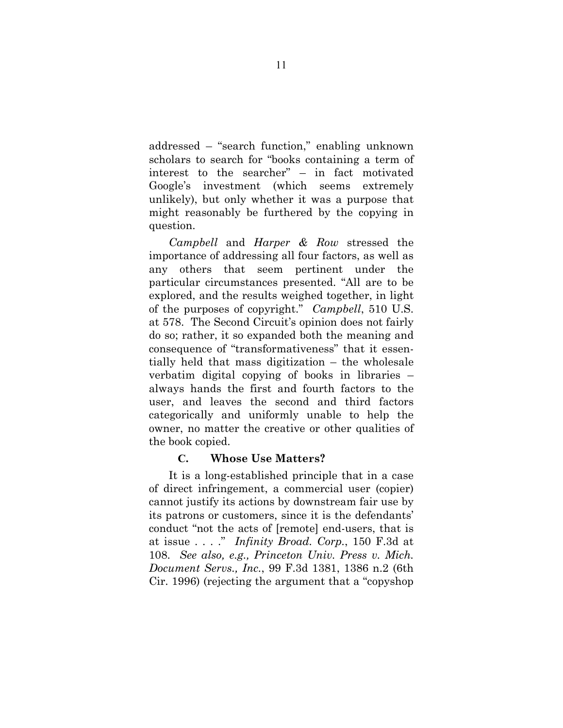addressed – "search function," enabling unknown scholars to search for "books containing a term of interest to the searcher" – in fact motivated Google's investment (which seems extremely unlikely), but only whether it was a purpose that might reasonably be furthered by the copying in question.

*Campbell* and *Harper & Row* stressed the importance of addressing all four factors, as well as any others that seem pertinent under the particular circumstances presented. "All are to be explored, and the results weighed together, in light of the purposes of copyright." *Campbell*, 510 U.S. at 578. The Second Circuit's opinion does not fairly do so; rather, it so expanded both the meaning and consequence of "transformativeness" that it essentially held that mass digitization – the wholesale verbatim digital copying of books in libraries – always hands the first and fourth factors to the user, and leaves the second and third factors categorically and uniformly unable to help the owner, no matter the creative or other qualities of the book copied.

#### **C. Whose Use Matters?**

It is a long-established principle that in a case of direct infringement, a commercial user (copier) cannot justify its actions by downstream fair use by its patrons or customers, since it is the defendants' conduct "not the acts of [remote] end-users, that is at issue . . . ." *Infinity Broad. Corp.*, 150 F.3d at 108. *See also, e.g., Princeton Univ. Press v. Mich. Document Servs., Inc.*, 99 F.3d 1381, 1386 n.2 (6th Cir. 1996) (rejecting the argument that a "copyshop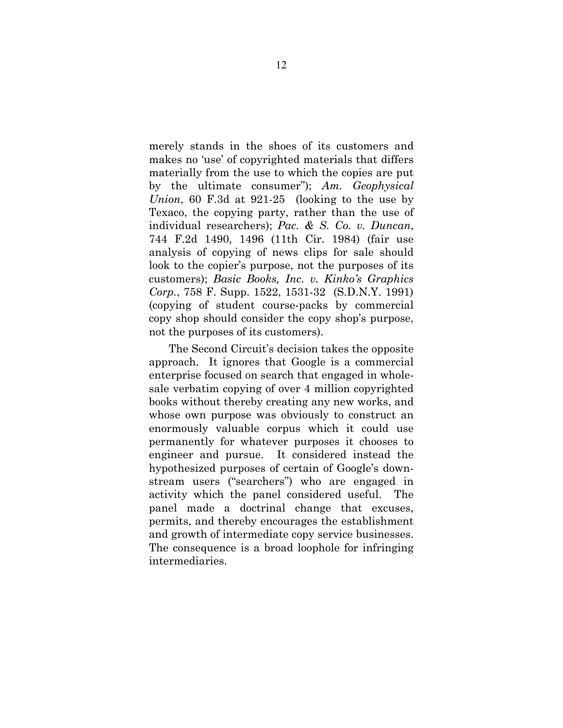merely stands in the shoes of its customers and makes no 'use' of copyrighted materials that differs materially from the use to which the copies are put by the ultimate consumer"); *Am. Geophysical Union*, 60 F.3d at 921-25 (looking to the use by Texaco, the copying party, rather than the use of individual researchers); *Pac. & S. Co. v. Duncan*, 744 F.2d 1490, 1496 (11th Cir. 1984) (fair use analysis of copying of news clips for sale should look to the copier's purpose, not the purposes of its customers); *Basic Books, Inc. v. Kinko's Graphics Corp.*, 758 F. Supp. 1522, 1531-32 (S.D.N.Y. 1991) (copying of student course-packs by commercial copy shop should consider the copy shop's purpose, not the purposes of its customers).

The Second Circuit's decision takes the opposite approach. It ignores that Google is a commercial enterprise focused on search that engaged in wholesale verbatim copying of over 4 million copyrighted books without thereby creating any new works, and whose own purpose was obviously to construct an enormously valuable corpus which it could use permanently for whatever purposes it chooses to engineer and pursue. It considered instead the hypothesized purposes of certain of Google's downstream users ("searchers") who are engaged in activity which the panel considered useful. The panel made a doctrinal change that excuses, permits, and thereby encourages the establishment and growth of intermediate copy service businesses. The consequence is a broad loophole for infringing intermediaries.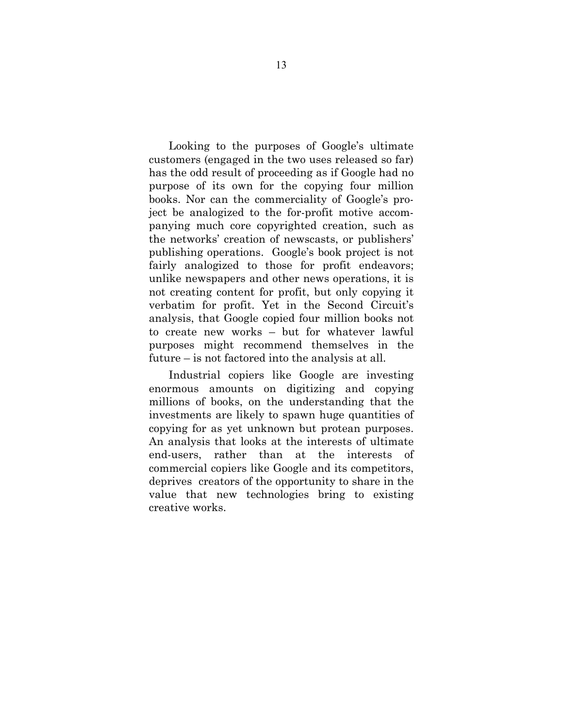Looking to the purposes of Google's ultimate customers (engaged in the two uses released so far) has the odd result of proceeding as if Google had no purpose of its own for the copying four million books. Nor can the commerciality of Google's project be analogized to the for-profit motive accompanying much core copyrighted creation, such as the networks' creation of newscasts, or publishers' publishing operations. Google's book project is not fairly analogized to those for profit endeavors; unlike newspapers and other news operations, it is not creating content for profit, but only copying it verbatim for profit. Yet in the Second Circuit's analysis, that Google copied four million books not to create new works – but for whatever lawful purposes might recommend themselves in the future – is not factored into the analysis at all.

Industrial copiers like Google are investing enormous amounts on digitizing and copying millions of books, on the understanding that the investments are likely to spawn huge quantities of copying for as yet unknown but protean purposes. An analysis that looks at the interests of ultimate end-users, rather than at the interests of commercial copiers like Google and its competitors, deprives creators of the opportunity to share in the value that new technologies bring to existing creative works.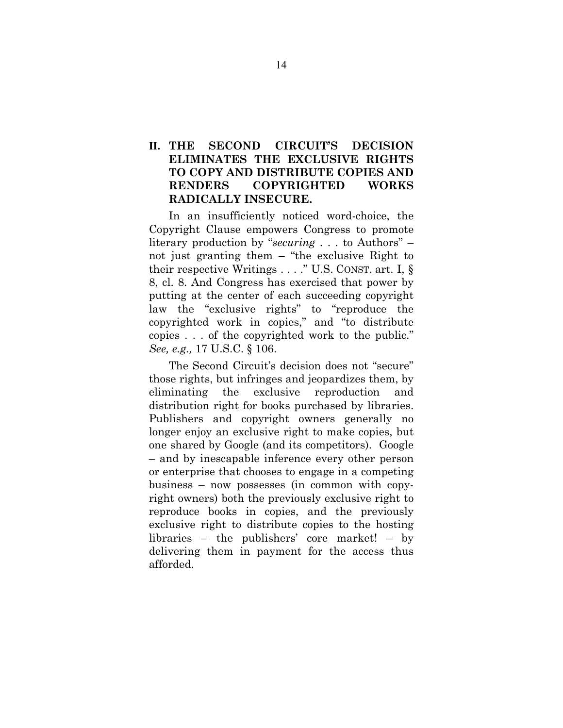### **II. THE SECOND CIRCUIT'S DECISION ELIMINATES THE EXCLUSIVE RIGHTS TO COPY AND DISTRIBUTE COPIES AND RENDERS COPYRIGHTED WORKS RADICALLY INSECURE.**

In an insufficiently noticed word-choice, the Copyright Clause empowers Congress to promote literary production by "*securing* . . . to Authors" – not just granting them – "the exclusive Right to their respective Writings . . . ." U.S. CONST. art. I, § 8, cl. 8. And Congress has exercised that power by putting at the center of each succeeding copyright law the "exclusive rights" to "reproduce the copyrighted work in copies," and "to distribute copies . . . of the copyrighted work to the public." *See, e.g.,* 17 U.S.C. § 106.

The Second Circuit's decision does not "secure" those rights, but infringes and jeopardizes them, by eliminating the exclusive reproduction and distribution right for books purchased by libraries. Publishers and copyright owners generally no longer enjoy an exclusive right to make copies, but one shared by Google (and its competitors). Google – and by inescapable inference every other person or enterprise that chooses to engage in a competing business – now possesses (in common with copyright owners) both the previously exclusive right to reproduce books in copies, and the previously exclusive right to distribute copies to the hosting libraries – the publishers' core market! – by delivering them in payment for the access thus afforded.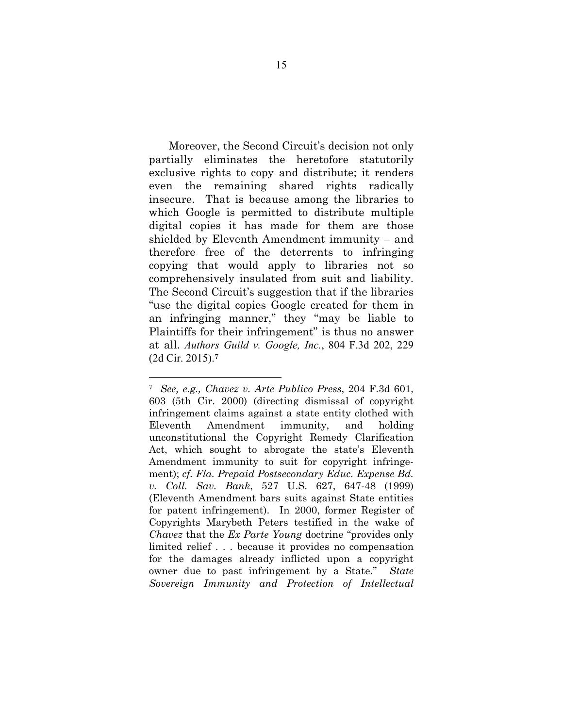Moreover, the Second Circuit's decision not only partially eliminates the heretofore statutorily exclusive rights to copy and distribute; it renders even the remaining shared rights radically insecure. That is because among the libraries to which Google is permitted to distribute multiple digital copies it has made for them are those shielded by Eleventh Amendment immunity – and therefore free of the deterrents to infringing copying that would apply to libraries not so comprehensively insulated from suit and liability. The Second Circuit's suggestion that if the libraries "use the digital copies Google created for them in an infringing manner," they "may be liable to Plaintiffs for their infringement" is thus no answer at all. *Authors Guild v. Google, Inc.*, 804 F.3d 202, 229 (2d Cir. 2015).7

<sup>7</sup> *See, e.g., Chavez v. Arte Publico Press*, 204 F.3d 601, 603 (5th Cir. 2000) (directing dismissal of copyright infringement claims against a state entity clothed with Eleventh Amendment immunity, and holding unconstitutional the Copyright Remedy Clarification Act, which sought to abrogate the state's Eleventh Amendment immunity to suit for copyright infringement); *cf. Fla. Prepaid Postsecondary Educ. Expense Bd. v. Coll. Sav. Bank*, 527 U.S. 627, 647-48 (1999) (Eleventh Amendment bars suits against State entities for patent infringement). In 2000, former Register of Copyrights Marybeth Peters testified in the wake of *Chavez* that the *Ex Parte Young* doctrine "provides only limited relief . . . because it provides no compensation for the damages already inflicted upon a copyright owner due to past infringement by a State." *State Sovereign Immunity and Protection of Intellectual*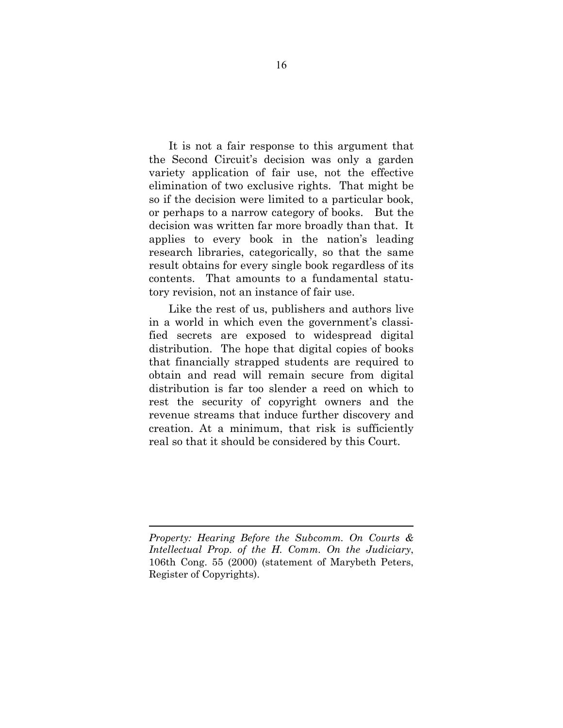It is not a fair response to this argument that the Second Circuit's decision was only a garden variety application of fair use, not the effective elimination of two exclusive rights. That might be so if the decision were limited to a particular book, or perhaps to a narrow category of books. But the decision was written far more broadly than that. It applies to every book in the nation's leading research libraries, categorically, so that the same result obtains for every single book regardless of its contents. That amounts to a fundamental statutory revision, not an instance of fair use.

Like the rest of us, publishers and authors live in a world in which even the government's classified secrets are exposed to widespread digital distribution. The hope that digital copies of books that financially strapped students are required to obtain and read will remain secure from digital distribution is far too slender a reed on which to rest the security of copyright owners and the revenue streams that induce further discovery and creation. At a minimum, that risk is sufficiently real so that it should be considered by this Court.

*Property: Hearing Before the Subcomm. On Courts & Intellectual Prop. of the H. Comm. On the Judiciary*, 106th Cong. 55 (2000) (statement of Marybeth Peters, Register of Copyrights).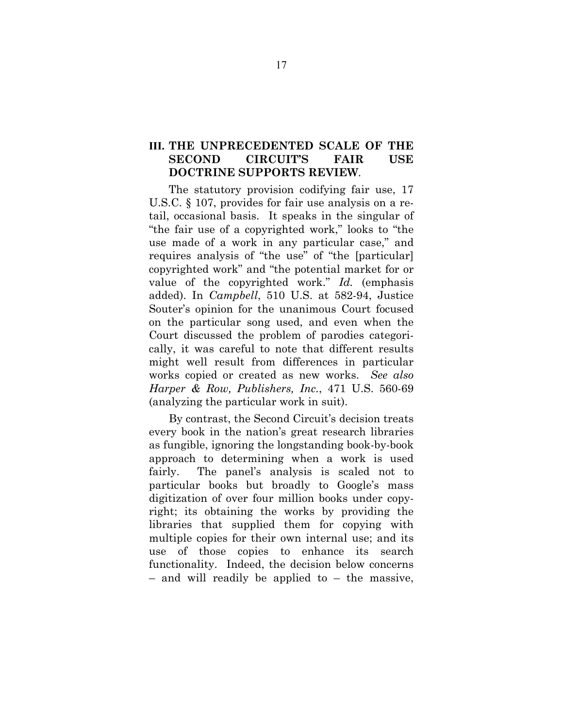## **III. THE UNPRECEDENTED SCALE OF THE SECOND CIRCUIT'S FAIR USE DOCTRINE SUPPORTS REVIEW**.

The statutory provision codifying fair use, 17 U.S.C. § 107, provides for fair use analysis on a retail, occasional basis. It speaks in the singular of "the fair use of a copyrighted work," looks to "the use made of a work in any particular case," and requires analysis of "the use" of "the [particular] copyrighted work" and "the potential market for or value of the copyrighted work." *Id.* (emphasis added). In *Campbell*, 510 U.S. at 582-94, Justice Souter's opinion for the unanimous Court focused on the particular song used, and even when the Court discussed the problem of parodies categorically, it was careful to note that different results might well result from differences in particular works copied or created as new works. *See also Harper & Row, Publishers, Inc.*, 471 U.S. 560-69 (analyzing the particular work in suit).

By contrast, the Second Circuit's decision treats every book in the nation's great research libraries as fungible, ignoring the longstanding book-by-book approach to determining when a work is used fairly. The panel's analysis is scaled not to particular books but broadly to Google's mass digitization of over four million books under copyright; its obtaining the works by providing the libraries that supplied them for copying with multiple copies for their own internal use; and its use of those copies to enhance its search functionality. Indeed, the decision below concerns – and will readily be applied to – the massive,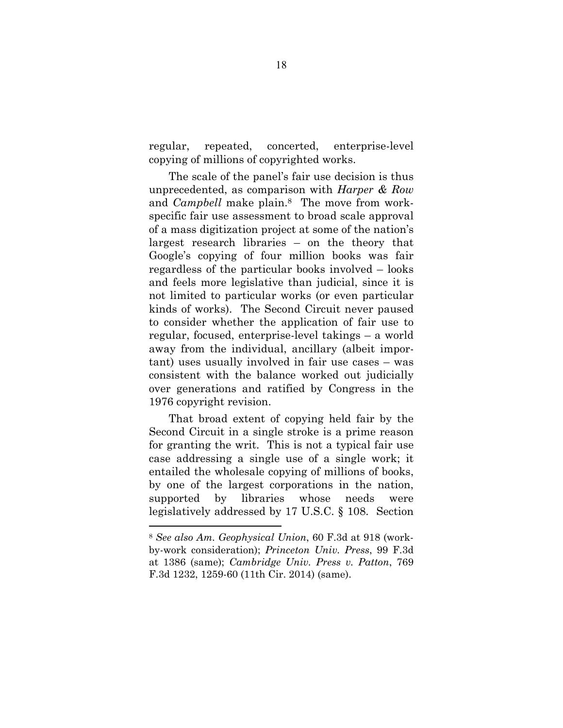regular, repeated, concerted, enterprise-level copying of millions of copyrighted works.

The scale of the panel's fair use decision is thus unprecedented, as comparison with *Harper & Row* and *Campbell* make plain.8 The move from workspecific fair use assessment to broad scale approval of a mass digitization project at some of the nation's largest research libraries – on the theory that Google's copying of four million books was fair regardless of the particular books involved – looks and feels more legislative than judicial, since it is not limited to particular works (or even particular kinds of works). The Second Circuit never paused to consider whether the application of fair use to regular, focused, enterprise-level takings – a world away from the individual, ancillary (albeit important) uses usually involved in fair use cases – was consistent with the balance worked out judicially over generations and ratified by Congress in the 1976 copyright revision.

That broad extent of copying held fair by the Second Circuit in a single stroke is a prime reason for granting the writ. This is not a typical fair use case addressing a single use of a single work; it entailed the wholesale copying of millions of books, by one of the largest corporations in the nation, supported by libraries whose needs were legislatively addressed by 17 U.S.C. § 108. Section

<sup>8</sup> *See also Am. Geophysical Union*, 60 F.3d at 918 (workby-work consideration); *Princeton Univ. Press*, 99 F.3d at 1386 (same); *Cambridge Univ. Press v. Patton*, 769 F.3d 1232, 1259-60 (11th Cir. 2014) (same).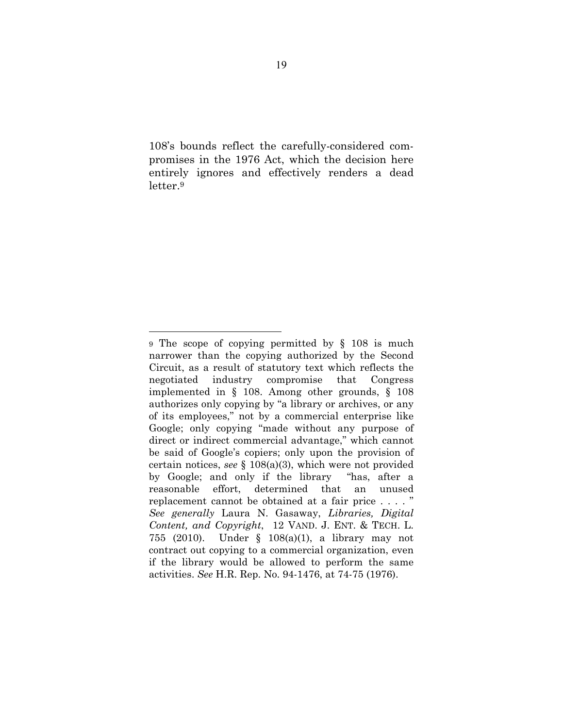108's bounds reflect the carefully-considered compromises in the 1976 Act, which the decision here entirely ignores and effectively renders a dead letter.9

<sup>9</sup> The scope of copying permitted by § 108 is much narrower than the copying authorized by the Second Circuit, as a result of statutory text which reflects the negotiated industry compromise that Congress implemented in § 108. Among other grounds, § 108 authorizes only copying by "a library or archives, or any of its employees," not by a commercial enterprise like Google; only copying "made without any purpose of direct or indirect commercial advantage," which cannot be said of Google's copiers; only upon the provision of certain notices, *see* § 108(a)(3), which were not provided by Google; and only if the library "has, after a reasonable effort, determined that an unused replacement cannot be obtained at a fair price . . . . " *See generally* Laura N. Gasaway, *Libraries, Digital Content, and Copyright*, 12 VAND. J. ENT. & TECH. L. 755 (2010). Under § 108(a)(1), a library may not contract out copying to a commercial organization, even if the library would be allowed to perform the same activities. *See* H.R. Rep. No. 94-1476, at 74-75 (1976).